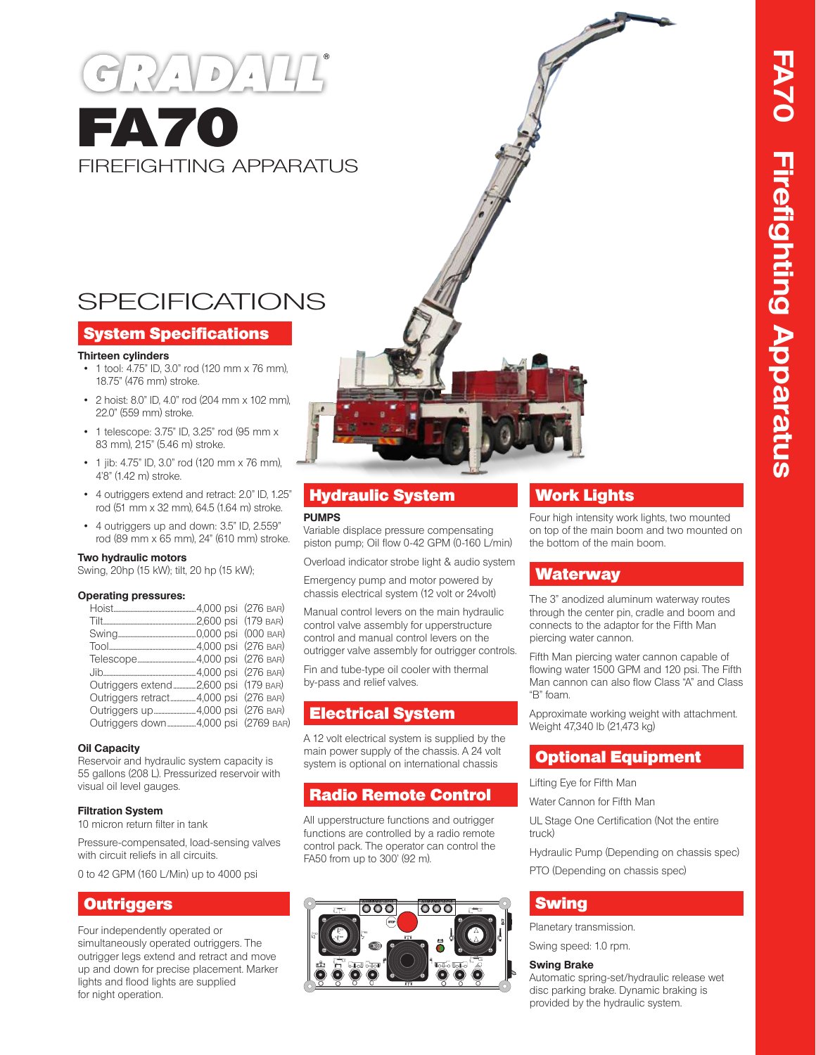# $\overline{D}$ **FA70** FIREFIGHTING APPARATUS

## SPECIFICATIONS

#### System Specifications

#### **Thirteen cylinders**

- 1 tool: 4.75" ID, 3.0" rod (120 mm x 76 mm), 18.75" (476 mm) stroke.
- 2 hoist: 8.0" ID, 4.0" rod (204 mm x 102 mm), 22.0" (559 mm) stroke.
- 1 telescope: 3.75" ID, 3.25" rod (95 mm x 83 mm), 215" (5.46 m) stroke.
- 1 jib: 4.75" ID, 3.0" rod (120 mm x 76 mm), 4'8" (1.42 m) stroke.
- 4 outriggers extend and retract: 2.0" ID, 1.25" rod (51 mm x 32 mm), 64.5 (1.64 m) stroke.
- 4 outriggers up and down: 3.5" ID, 2.559" rod (89 mm x 65 mm), 24" (610 mm) stroke.

#### **Two hydraulic motors**

Swing, 20hp (15 kW); tilt, 20 hp (15 kW);

#### **Operating pressures:**

| Outriggers extend 2,600 psi (179 BAR) |  |
|---------------------------------------|--|
| Outriggers retract4,000 psi (276 BAR) |  |
|                                       |  |
| Outriggers down4,000 psi (2769 BAR)   |  |

#### **Oil Capacity**

Reservoir and hydraulic system capacity is 55 gallons (208 L). Pressurized reservoir with visual oil level gauges.

#### **Filtration System**

10 micron return filter in tank

Pressure-compensated, load-sensing valves with circuit reliefs in all circuits.

0 to 42 GPM (160 L/Min) up to 4000 psi

### **Outriggers**

Four independently operated or simultaneously operated outriggers. The outrigger legs extend and retract and move up and down for precise placement. Marker lights and flood lights are supplied for night operation.



#### **PUMPS**

Variable displace pressure compensating piston pump; Oil flow 0-42 GPM (0-160 L/min)

Overload indicator strobe light & audio system

Emergency pump and motor powered by chassis electrical system (12 volt or 24volt)

Manual control levers on the main hydraulic control valve assembly for upperstructure control and manual control levers on the outrigger valve assembly for outrigger controls.

Fin and tube-type oil cooler with thermal by-pass and relief valves.

## Electrical System

A 12 volt electrical system is supplied by the main power supply of the chassis. A 24 volt system is optional on international chassis

## Radio Remote Control

All upperstructure functions and outrigger functions are controlled by a radio remote control pack. The operator can control the FA50 from up to 300' (92 m).



## Work Lights

Four high intensity work lights, two mounted on top of the main boom and two mounted on the bottom of the main boom.

#### **Waterway**

The 3" anodized aluminum waterway routes through the center pin, cradle and boom and connects to the adaptor for the Fifth Man piercing water cannon.

Fifth Man piercing water cannon capable of flowing water 1500 GPM and 120 psi. The Fifth Man cannon can also flow Class "A" and Class "B" foam.

Approximate working weight with attachment. Weight 47,340 lb (21,473 kg)

#### Optional Equipment

Lifting Eye for Fifth Man

Water Cannon for Fifth Man

UL Stage One Certification (Not the entire truck)

Hydraulic Pump (Depending on chassis spec)

PTO (Depending on chassis spec)

## Swing

Planetary transmission.

Swing speed: 1.0 rpm.

#### **Swing Brake**

Automatic spring-set/hydraulic release wet disc parking brake. Dynamic braking is provided by the hydraulic system.